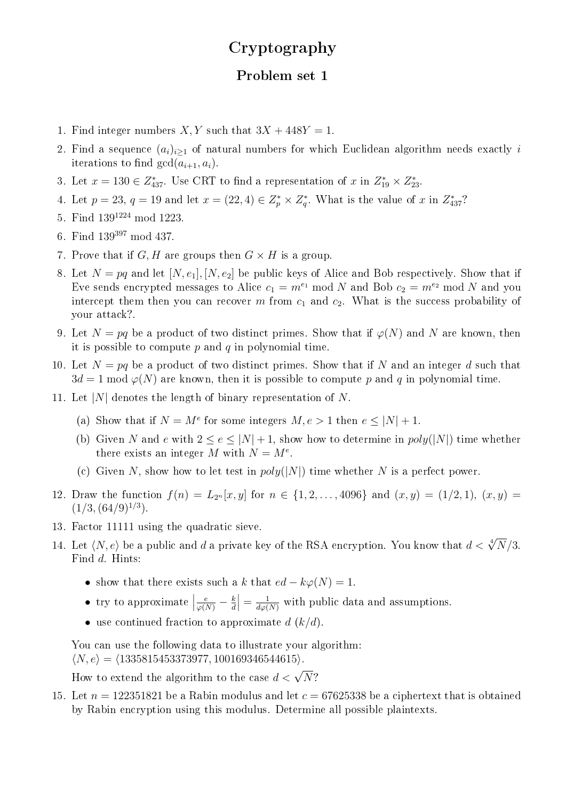## Cryptography

## Problem set 1

- 1. Find integer numbers X, Y such that  $3X + 448Y = 1$ .
- 2. Find a sequence  $(a_i)_{i\geq 1}$  of natural numbers for which Euclidean algorithm needs exactly i iterations to find  $gcd(a_{i+1}, a_i)$ .
- 3. Let  $x = 130 \in Z_{437}^*$ . Use CRT to find a representation of  $x$  in  $Z_{19}^* \times Z_{23}^*$ .
- 4. Let  $p = 23$ ,  $q = 19$  and let  $x = (22, 4) \in Z_p^* \times Z_q^*$ . What is the value of x in  $Z_{437}^*$ ?
- 5. Find 139<sup>1224</sup> mod 1223.
- 6. Find  $139^{397}$  mod  $437$ .
- 7. Prove that if G, H are groups then  $G \times H$  is a group.
- 8. Let  $N = pq$  and let  $[N, e_1], [N, e_2]$  be public keys of Alice and Bob respectively. Show that if Eve sends encrypted messages to Alice  $c_1 = m^{e_1} \mod N$  and Bob  $c_2 = m^{e_2} \mod N$  and you intercept them then you can recover m from  $c_1$  and  $c_2$ . What is the success probability of your attack?.
- 9. Let  $N = pq$  be a product of two distinct primes. Show that if  $\varphi(N)$  and N are known, then it is possible to compute  $p$  and  $q$  in polynomial time.
- 10. Let  $N = pq$  be a product of two distinct primes. Show that if N and an integer d such that  $3d = 1 \bmod \varphi(N)$  are known, then it is possible to compute p and q in polynomial time.
- 11. Let |N| denotes the length of binary representation of N.
	- (a) Show that if  $N = M^e$  for some integers  $M, e > 1$  then  $e \leq |N| + 1$ .
	- (b) Given N and e with  $2 \le e \le |N| + 1$ , show how to determine in  $poly(|N|)$  time whether there exists an integer M with  $N = M^e$ .
	- (c) Given N, show how to let test in  $poly(|N|)$  time whether N is a perfect power.
- 12. Draw the function  $f(n) = L_{2^n}[x, y]$  for  $n \in \{1, 2, ..., 4096\}$  and  $(x, y) = (1/2, 1), (x, y) =$  $(1/3, (64/9)^{1/3}).$
- 13. Factor 11111 using the quadratic sieve.
- 14. Let  $\langle N, e \rangle$  be a public and d a private key of the RSA encryption. You know that  $d < \sqrt[4]{N}/3$ . Find d. Hints:
	- show that there exists such a k that  $ed k\varphi(N) = 1$ .
	- try to approximate  $\vert$  $\frac{e}{\varphi(N)}-\frac{k}{d}$ d  $\left| = \frac{1}{d\varphi(N)} \right|$  with public data and assumptions.
	- use continued fraction to approximate  $d (k/d)$ .

You can use the following data to illustrate your algorithm:  $\langle N, e \rangle = \langle 1335815453373977, 100169346544615 \rangle.$ 

How to extend the algorithm to the case  $d < \sqrt{N}$ ?

15. Let  $n = 122351821$  be a Rabin modulus and let  $c = 67625338$  be a ciphertext that is obtained by Rabin encryption using this modulus. Determine all possible plaintexts.